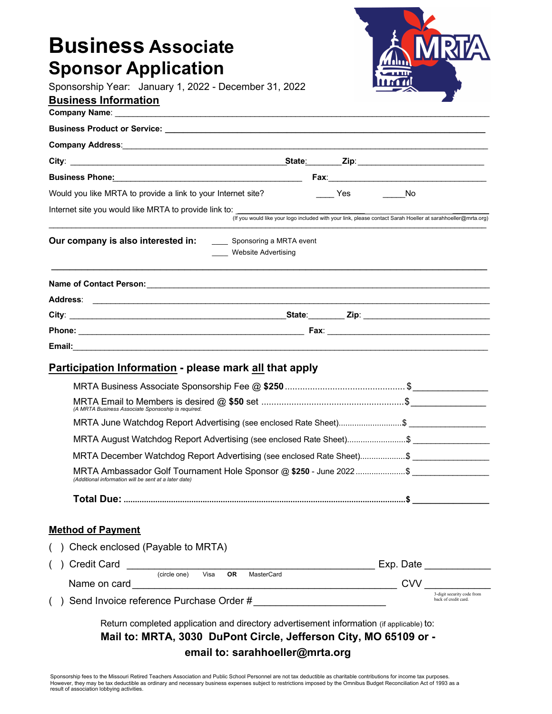| <b>Business Associate</b>                                                                 |                                                    |
|-------------------------------------------------------------------------------------------|----------------------------------------------------|
|                                                                                           |                                                    |
| <b>Sponsor Application</b><br>Sponsorship Year: January 1, 2022 - December 31, 2022       |                                                    |
| <b>Business Information</b>                                                               |                                                    |
|                                                                                           |                                                    |
|                                                                                           |                                                    |
|                                                                                           |                                                    |
|                                                                                           |                                                    |
|                                                                                           |                                                    |
| No Yes No<br>Would you like MRTA to provide a link to your Internet site?                 |                                                    |
| Internet site you would like MRTA to provide link to:                                     |                                                    |
| Our company is also interested in: _______ Sponsoring a MRTA event<br>Website Advertising |                                                    |
|                                                                                           |                                                    |
|                                                                                           |                                                    |
|                                                                                           |                                                    |
|                                                                                           |                                                    |
|                                                                                           |                                                    |
| <b>Participation Information - please mark all that apply</b>                             |                                                    |
|                                                                                           |                                                    |
|                                                                                           |                                                    |
|                                                                                           |                                                    |
|                                                                                           |                                                    |
| MRTA December Watchdog Report Advertising (see enclosed Rate Sheet)\$ _____________       |                                                    |
| MRTA Ambassador Golf Tournament Hole Sponsor @ \$250 - June 2022\$                        |                                                    |
| (Additional information will be sent at a later date)                                     |                                                    |
|                                                                                           |                                                    |
| <b>Method of Payment</b>                                                                  |                                                    |
| Check enclosed (Payable to MRTA)                                                          |                                                    |
|                                                                                           |                                                    |
|                                                                                           |                                                    |
|                                                                                           | 3-digit security code from<br>back of credit card. |
|                                                                                           |                                                    |

Sponsorship fees to the Missouri Retired Teachers Association and Public School Personnel are not tax deductible as charitable contributions for income tax purposes.<br>However, they may be tax deductible as ordinary and nece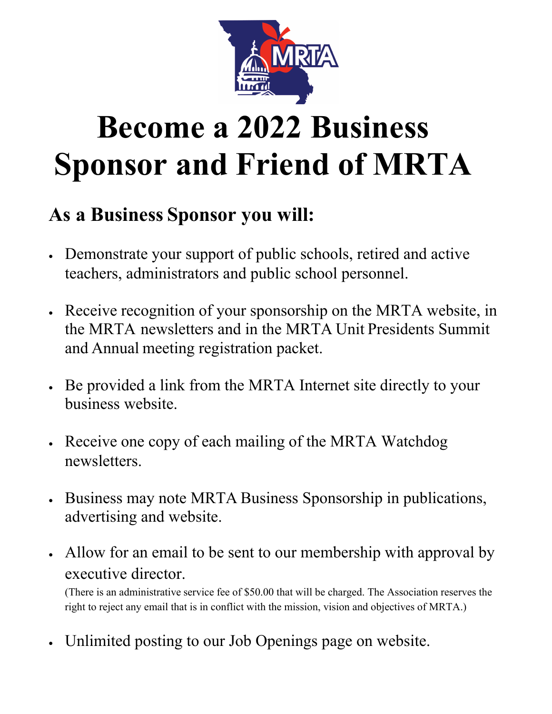

# **Become a 2022 Business Sponsor and Friend of MRTA**

### **As a Business Sponsor you will:**

- Demonstrate your support of public schools, retired and active teachers, administrators and public school personnel.
- Receive recognition of your sponsorship on the MRTA website, in the MRTA newsletters and in the MRTA Unit Presidents Summit and Annual meeting registration packet.
- Be provided a link from the MRTA Internet site directly to your business website.
- Receive one copy of each mailing of the MRTA Watchdog newsletters.
- Business may note MRTA Business Sponsorship in publications, advertising and website.
- Allow for an email to be sent to our membership with approval by executive director.

(There is an administrative service fee of \$50.00 that will be charged. The Association reserves the right to reject any email that is in conflict with the mission, vision and objectives of MRTA.)

• Unlimited posting to our Job Openings page on website.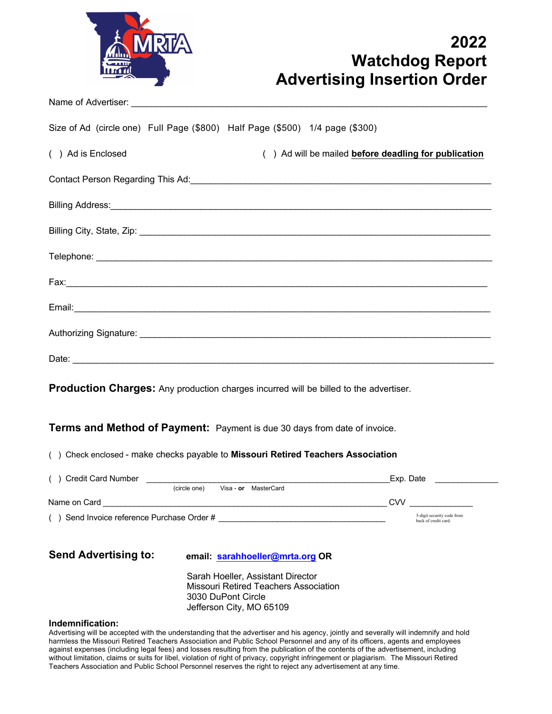

#### **2022 Watchdog Report Advertising Insertion Order**

Name of Advertiser:

Size of Ad (circle one) Full Page (\$800) Half Page (\$500) 1/4 page (\$300)

| ( ) Ad is Enclosed | () Ad will be mailed before deadling for publication |
|--------------------|------------------------------------------------------|
|--------------------|------------------------------------------------------|

| Contact Person Regarding This Ad: |  |
|-----------------------------------|--|
|-----------------------------------|--|

| Date: |
|-------|

**Production Charges:** Any production charges incurred will be billed to the advertiser.

**Terms and Method of Payment:** Payment is due 30 days from date of invoice.

( ) Check enclosed - make checks payable to **Missouri Retired Teachers Association**

| () Credit Card Number       |                                                                                                                                                                                                                                                                       | Exp. Date                                          |
|-----------------------------|-----------------------------------------------------------------------------------------------------------------------------------------------------------------------------------------------------------------------------------------------------------------------|----------------------------------------------------|
|                             | MasterCard<br>(circle one)<br>Visa - <b>or</b>                                                                                                                                                                                                                        |                                                    |
| Name on Card                |                                                                                                                                                                                                                                                                       | <b>CVV</b>                                         |
|                             | ( ) Send Invoice reference Purchase Order #                                                                                                                                                                                                                           | 3-digit security code from<br>back of credit card. |
|                             |                                                                                                                                                                                                                                                                       |                                                    |
|                             |                                                                                                                                                                                                                                                                       |                                                    |
| <b>Send Advertising to:</b> | email: sarahhoeller@mrta.org OR                                                                                                                                                                                                                                       |                                                    |
|                             | Sarah Hoeller, Assistant Director                                                                                                                                                                                                                                     |                                                    |
|                             | <b>Missouri Retired Teachers Association</b>                                                                                                                                                                                                                          |                                                    |
|                             | 3030 DuPont Circle                                                                                                                                                                                                                                                    |                                                    |
|                             | Jefferson City, MO 65109                                                                                                                                                                                                                                              |                                                    |
| Indemnification:            |                                                                                                                                                                                                                                                                       |                                                    |
|                             | Advertising will be accepted with the understanding that the advertiser and his agency, jointly and severally will indemnify and hold<br>harmless the Missouri Retired Teachers Association and Public School Personnel and any of its officers, agents and employees |                                                    |

harmless the Missouri Retired Teachers Association and Public School Personnel and any of its officers, agents and employees against expenses (including legal fees) and losses resulting from the publication of the contents of the advertisement, including without limitation, claims or suits for libel, violation of right of privacy, copyright infringement or plagiarism. The Missouri Retired Teachers Association and Public School Personnel reserves the right to reject any advertisement at any time.